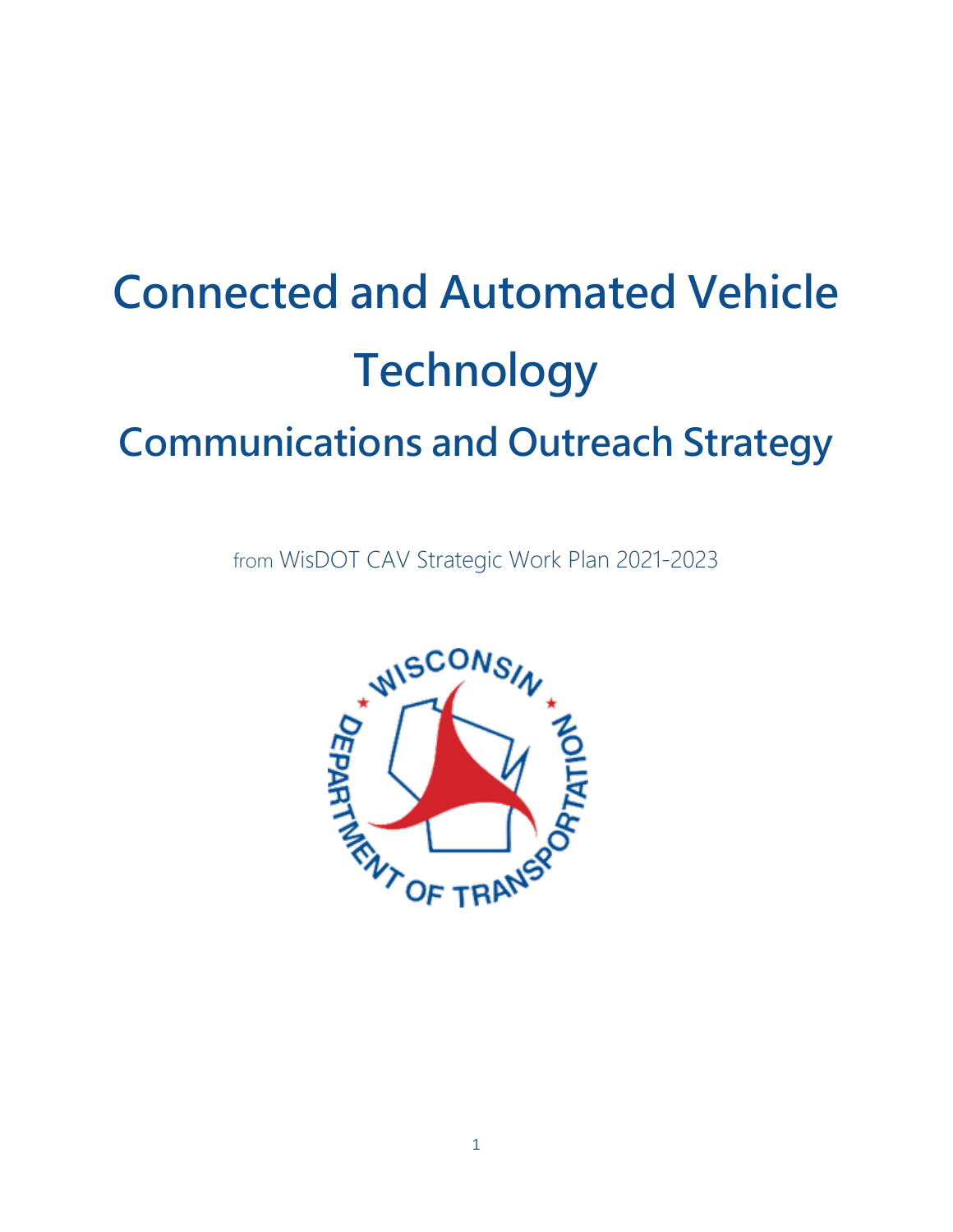# **Connected and Automated Vehicle Technology Communications and Outreach Strategy**

from WisDOT CAV Strategic Work Plan 2021-2023

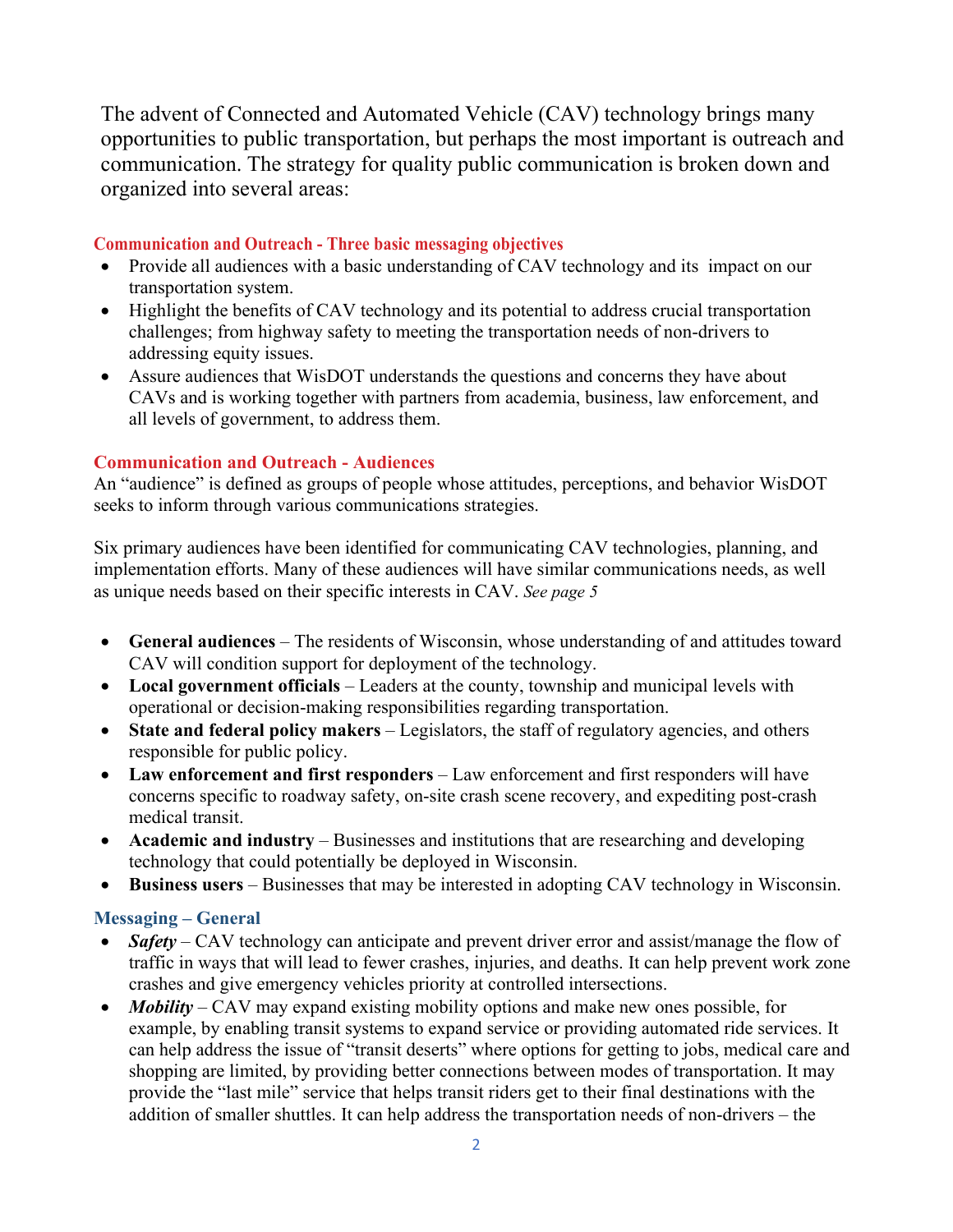The advent of Connected and Automated Vehicle (CAV) technology brings many opportunities to public transportation, but perhaps the most important is outreach and communication. The strategy for quality public communication is broken down and organized into several areas:

#### **Communication and Outreach - Three basic messaging objectives**

- Provide all audiences with a basic understanding of CAV technology and its impact on our transportation system.
- Highlight the benefits of CAV technology and its potential to address crucial transportation challenges; from highway safety to meeting the transportation needs of non-drivers to addressing equity issues.
- Assure audiences that WisDOT understands the questions and concerns they have about CAVs and is working together with partners from academia, business, law enforcement, and all levels of government, to address them.

#### **Communication and Outreach - Audiences**

An "audience" is defined as groups of people whose attitudes, perceptions, and behavior WisDOT seeks to inform through various communications strategies.

Six primary audiences have been identified for communicating CAV technologies, planning, and implementation efforts. Many of these audiences will have similar communications needs, as well as unique needs based on their specific interests in CAV. *See page 5*

- **General audiences** The residents of Wisconsin, whose understanding of and attitudes toward CAV will condition support for deployment of the technology.
- **Local government officials** Leaders at the county, township and municipal levels with operational or decision-making responsibilities regarding transportation.
- **State and federal policy makers** Legislators, the staff of regulatory agencies, and others responsible for public policy.
- Law enforcement and first responders Law enforcement and first responders will have concerns specific to roadway safety, on-site crash scene recovery, and expediting post-crash medical transit.
- **Academic and industry** Businesses and institutions that are researching and developing technology that could potentially be deployed in Wisconsin.
- **Business users** Businesses that may be interested in adopting CAV technology in Wisconsin.

## **Messaging – General**

- *Safety* CAV technology can anticipate and prevent driver error and assist/manage the flow of traffic in ways that will lead to fewer crashes, injuries, and deaths. It can help prevent work zone crashes and give emergency vehicles priority at controlled intersections.
- *Mobility* CAV may expand existing mobility options and make new ones possible, for example, by enabling transit systems to expand service or providing automated ride services. It can help address the issue of "transit deserts" where options for getting to jobs, medical care and shopping are limited, by providing better connections between modes of transportation. It may provide the "last mile" service that helps transit riders get to their final destinations with the addition of smaller shuttles. It can help address the transportation needs of non-drivers – the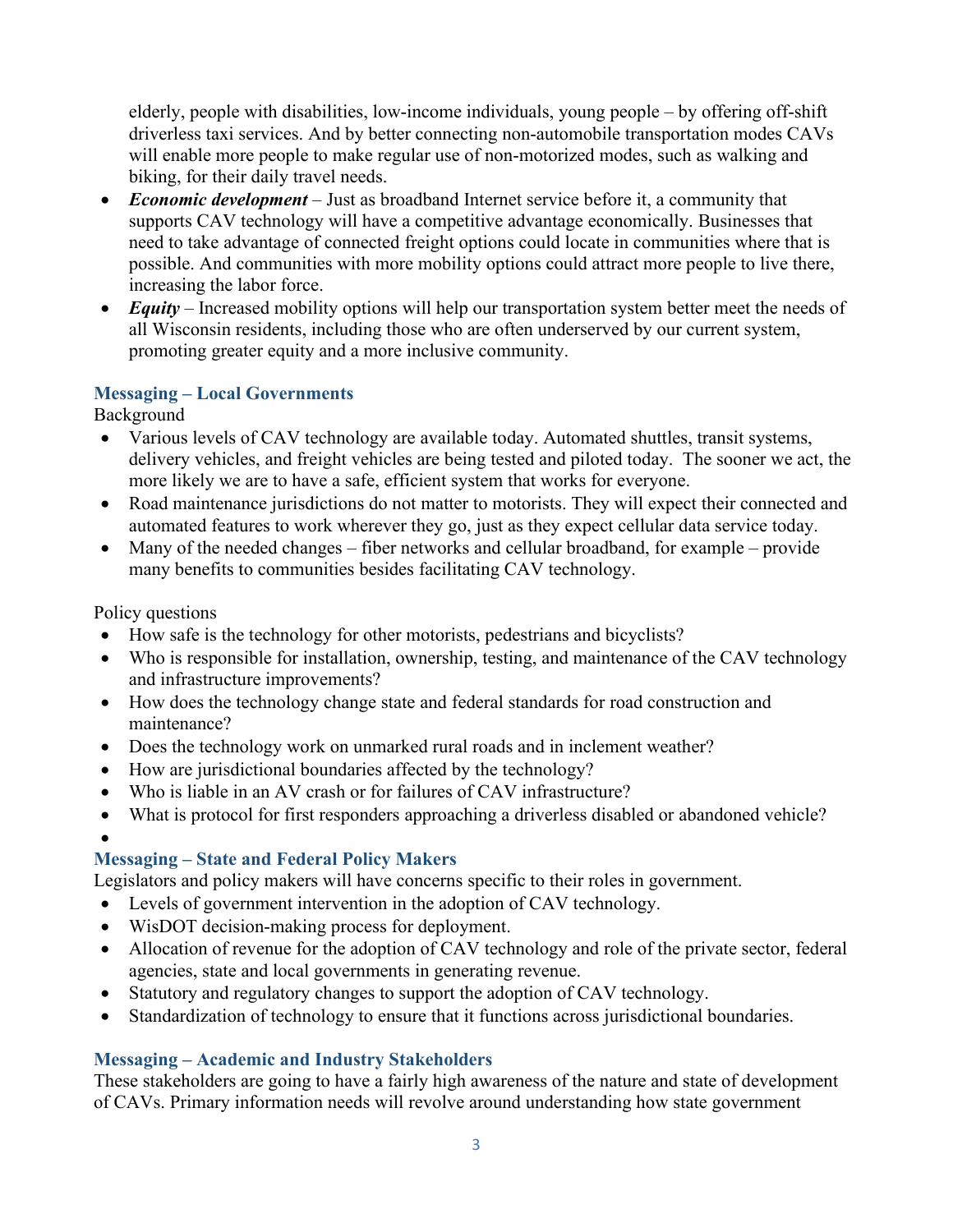elderly, people with disabilities, low-income individuals, young people – by offering off-shift driverless taxi services. And by better connecting non-automobile transportation modes CAVs will enable more people to make regular use of non-motorized modes, such as walking and biking, for their daily travel needs.

- *Economic development* Just as broadband Internet service before it, a community that supports CAV technology will have a competitive advantage economically. Businesses that need to take advantage of connected freight options could locate in communities where that is possible. And communities with more mobility options could attract more people to live there, increasing the labor force.
- *Equity* Increased mobility options will help our transportation system better meet the needs of all Wisconsin residents, including those who are often underserved by our current system, promoting greater equity and a more inclusive community.

## **Messaging – Local Governments**

Background

- Various levels of CAV technology are available today. Automated shuttles, transit systems, delivery vehicles, and freight vehicles are being tested and piloted today. The sooner we act, the more likely we are to have a safe, efficient system that works for everyone.
- Road maintenance jurisdictions do not matter to motorists. They will expect their connected and automated features to work wherever they go, just as they expect cellular data service today.
- Many of the needed changes fiber networks and cellular broadband, for example provide many benefits to communities besides facilitating CAV technology.

## Policy questions

- How safe is the technology for other motorists, pedestrians and bicyclists?
- Who is responsible for installation, ownership, testing, and maintenance of the CAV technology and infrastructure improvements?
- How does the technology change state and federal standards for road construction and maintenance?
- Does the technology work on unmarked rural roads and in inclement weather?
- How are jurisdictional boundaries affected by the technology?
- Who is liable in an AV crash or for failures of CAV infrastructure?
- What is protocol for first responders approaching a driverless disabled or abandoned vehicle?

•

# **Messaging – State and Federal Policy Makers**

Legislators and policy makers will have concerns specific to their roles in government.

- Levels of government intervention in the adoption of CAV technology.
- WisDOT decision-making process for deployment.
- Allocation of revenue for the adoption of CAV technology and role of the private sector, federal agencies, state and local governments in generating revenue.
- Statutory and regulatory changes to support the adoption of CAV technology.
- Standardization of technology to ensure that it functions across jurisdictional boundaries.

# **Messaging – Academic and Industry Stakeholders**

These stakeholders are going to have a fairly high awareness of the nature and state of development of CAVs. Primary information needs will revolve around understanding how state government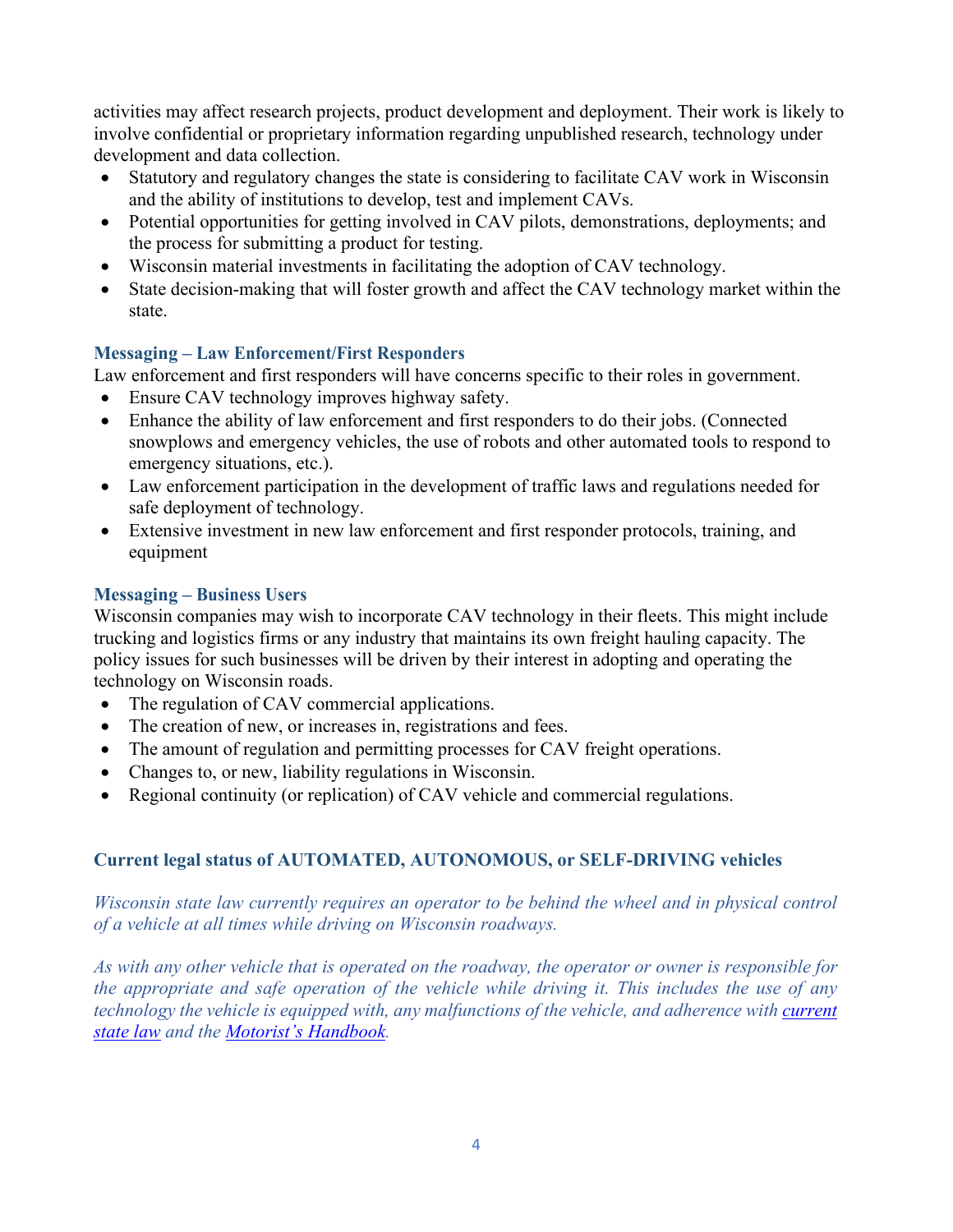activities may affect research projects, product development and deployment. Their work is likely to involve confidential or proprietary information regarding unpublished research, technology under development and data collection.

- Statutory and regulatory changes the state is considering to facilitate CAV work in Wisconsin and the ability of institutions to develop, test and implement CAVs.
- Potential opportunities for getting involved in CAV pilots, demonstrations, deployments; and the process for submitting a product for testing.
- Wisconsin material investments in facilitating the adoption of CAV technology.
- State decision-making that will foster growth and affect the CAV technology market within the state.

## **Messaging – Law Enforcement/First Responders**

Law enforcement and first responders will have concerns specific to their roles in government.

- Ensure CAV technology improves highway safety.
- Enhance the ability of law enforcement and first responders to do their jobs. (Connected snowplows and emergency vehicles, the use of robots and other automated tools to respond to emergency situations, etc.).
- Law enforcement participation in the development of traffic laws and regulations needed for safe deployment of technology.
- Extensive investment in new law enforcement and first responder protocols, training, and equipment

## **Messaging – Business Users**

Wisconsin companies may wish to incorporate CAV technology in their fleets. This might include trucking and logistics firms or any industry that maintains its own freight hauling capacity. The policy issues for such businesses will be driven by their interest in adopting and operating the technology on Wisconsin roads.

- The regulation of CAV commercial applications.
- The creation of new, or increases in, registrations and fees.
- The amount of regulation and permitting processes for CAV freight operations.
- Changes to, or new, liability regulations in Wisconsin.
- Regional continuity (or replication) of CAV vehicle and commercial regulations.

## **Current legal status of AUTOMATED, AUTONOMOUS, or SELF-DRIVING vehicles**

*Wisconsin state law currently requires an operator to be behind the wheel and in physical control of a vehicle at all times while driving on Wisconsin roadways.* 

*As with any other vehicle that is operated on the roadway, the operator or owner is responsible for the appropriate and safe operation of the vehicle while driving it. This includes the use of any technology the vehicle is equipped with, any malfunctions of the vehicle, and adherence with current [state law](https://docs.legis.wisconsin.gov/statutes/statutes/346) and the [Motorist's Handbook.](https://wisconsindot.gov/Documents/dmv/shared/bds126-motorists-handbook.pdf)*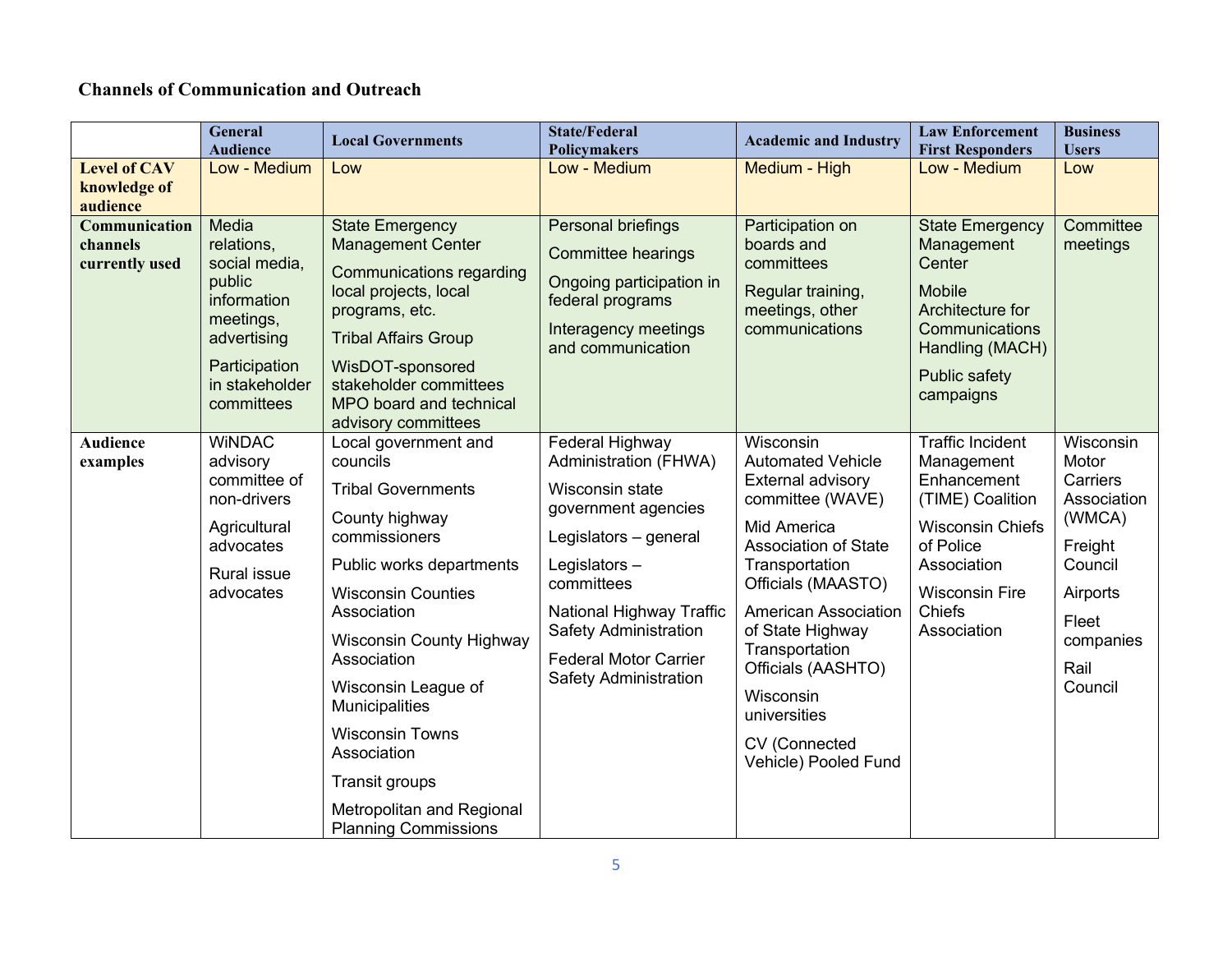# **Channels of Communication and Outreach**

|                                                 | <b>General</b><br><b>Audience</b>                                                                                                          | <b>Local Governments</b>                                                                                                                                                                                                                                                                                                                                                                          | <b>State/Federal</b><br><b>Policymakers</b>                                                                                                                                                                                                                           | <b>Academic and Industry</b>                                                                                                                                                                                                                                                                                                          | <b>Law Enforcement</b><br><b>First Responders</b>                                                                                                                                 | <b>Business</b><br><b>Users</b>                                                                                                    |
|-------------------------------------------------|--------------------------------------------------------------------------------------------------------------------------------------------|---------------------------------------------------------------------------------------------------------------------------------------------------------------------------------------------------------------------------------------------------------------------------------------------------------------------------------------------------------------------------------------------------|-----------------------------------------------------------------------------------------------------------------------------------------------------------------------------------------------------------------------------------------------------------------------|---------------------------------------------------------------------------------------------------------------------------------------------------------------------------------------------------------------------------------------------------------------------------------------------------------------------------------------|-----------------------------------------------------------------------------------------------------------------------------------------------------------------------------------|------------------------------------------------------------------------------------------------------------------------------------|
| <b>Level of CAV</b><br>knowledge of<br>audience | Low - Medium                                                                                                                               | Low                                                                                                                                                                                                                                                                                                                                                                                               | Low - Medium                                                                                                                                                                                                                                                          | Medium - High                                                                                                                                                                                                                                                                                                                         | Low - Medium                                                                                                                                                                      | Low                                                                                                                                |
| Communication<br>channels<br>currently used     | Media<br>relations,<br>social media,<br>public<br>information<br>meetings,<br>advertising<br>Participation<br>in stakeholder<br>committees | <b>State Emergency</b><br><b>Management Center</b><br><b>Communications regarding</b><br>local projects, local<br>programs, etc.<br><b>Tribal Affairs Group</b><br>WisDOT-sponsored<br>stakeholder committees<br>MPO board and technical<br>advisory committees                                                                                                                                   | Personal briefings<br><b>Committee hearings</b><br>Ongoing participation in<br>federal programs<br>Interagency meetings<br>and communication                                                                                                                          | Participation on<br>boards and<br>committees<br>Regular training,<br>meetings, other<br>communications                                                                                                                                                                                                                                | <b>State Emergency</b><br>Management<br>Center<br><b>Mobile</b><br>Architecture for<br>Communications<br>Handling (MACH)<br>Public safety<br>campaigns                            | Committee<br>meetings                                                                                                              |
| <b>Audience</b><br>examples                     | <b>WINDAC</b><br>advisory<br>committee of<br>non-drivers<br>Agricultural<br>advocates<br>Rural issue<br>advocates                          | Local government and<br>councils<br><b>Tribal Governments</b><br>County highway<br>commissioners<br>Public works departments<br><b>Wisconsin Counties</b><br>Association<br><b>Wisconsin County Highway</b><br>Association<br>Wisconsin League of<br>Municipalities<br><b>Wisconsin Towns</b><br>Association<br><b>Transit groups</b><br>Metropolitan and Regional<br><b>Planning Commissions</b> | Federal Highway<br>Administration (FHWA)<br>Wisconsin state<br>government agencies<br>Legislators - general<br>Legislators-<br>committees<br>National Highway Traffic<br><b>Safety Administration</b><br><b>Federal Motor Carrier</b><br><b>Safety Administration</b> | Wisconsin<br><b>Automated Vehicle</b><br>External advisory<br>committee (WAVE)<br>Mid America<br><b>Association of State</b><br>Transportation<br>Officials (MAASTO)<br><b>American Association</b><br>of State Highway<br>Transportation<br>Officials (AASHTO)<br>Wisconsin<br>universities<br>CV (Connected<br>Vehicle) Pooled Fund | <b>Traffic Incident</b><br>Management<br>Enhancement<br>(TIME) Coalition<br><b>Wisconsin Chiefs</b><br>of Police<br>Association<br><b>Wisconsin Fire</b><br>Chiefs<br>Association | Wisconsin<br>Motor<br>Carriers<br>Association<br>(WMCA)<br>Freight<br>Council<br>Airports<br>Fleet<br>companies<br>Rail<br>Council |